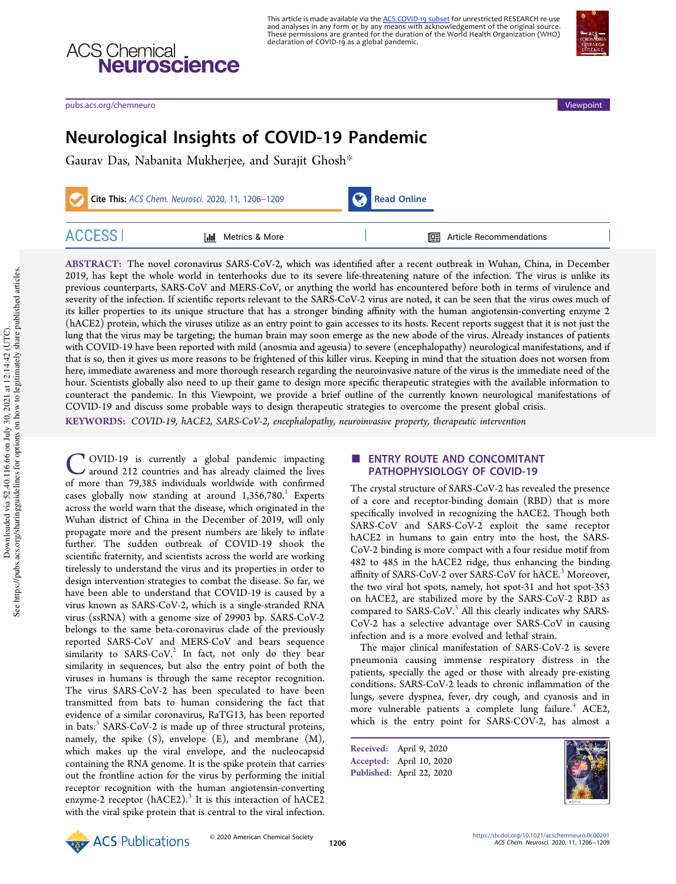

pubs.acs.org/chemneuro Viewpoint

**ACS Chemical**<br> **Neuroscience** 

# Neurological Insights of COVID-19 Pandemic

Gaurav Das, Nabanita Mukherjee, and Surajit Ghosh\*

|               | Cite This: ACS Chem. Neurosci. 2020, 11, 1206-1209 |  | Read Online                        |  |
|---------------|----------------------------------------------------|--|------------------------------------|--|
| <b>ACCESS</b> | Metrics & More<br>ldd -                            |  | <b>III</b> Article Recommendations |  |

ABSTRACT: The novel coronavirus SARS-CoV-2, which was identified after a recent outbreak in Wuhan, China, in December 2019, has kept the whole world in tenterhooks due to its severe life-threatening nature of the infection. The virus is unlike its previous counterparts, SARS-CoV and MERS-CoV, or anything the world has encountered before both in terms of virulence and severity of the infection. If scientific reports relevant to the SARS-CoV-2 virus are noted, it can be seen that the virus owes much of its killer properties to its unique structure that has a stronger binding affinity with the human angiotensin-converting enzyme 2 (hACE2) protein, which the viruses utilize as an entry point to gain accesses to its hosts. Recent reports suggest that it is not just the lung that the virus may be targeting; the human brain may soon emerge as the new abode of the virus. Already instances of patients with COVID-19 have been reported with mild (anosmia and ageusia) to severe (encephalopathy) neurological manifestations, and if that is so, then it gives us more reasons to be frightened of this killer virus. Keeping in mind that the situation does not worsen from here, immediate awareness and more thorough research regarding the neuroinvasive nature of the virus is the immediate need of the hour. Scientists globally also need to up their game to design more specific therapeutic strategies with the available information to counteract the pandemic. In this Viewpoint, we provide a brief outline of the currently known neurological manifestations of COVID-19 and discuss some probable ways to design therapeutic strategies to overcome the present global crisis.

KEYWORDS: COVID-19, hACE2, SARS-CoV-2, encephalopathy, neuroinvasive property, therapeutic intervention

C OVID-19 is currently a global pandemic impacting<br>around 212 countries and has already claimed the lives<br>of more than 79,385 individuals worldwide with confirmed OVID-19 is currently a global pandemic impacting around 212 countries and has already claimed the lives cases globally now standing at around  $1,356,780$ .<sup>1</sup> Experts across the world warn that the disease, which originated in the Wuhan district of China in the December of 2019, will only propagate more and the present numbers are likely to inflate further. The sudden outbreak of COVID-19 shook the scientific fraternity, and scientists across the world are working tirelessly to understand the virus and its properties in order to design intervention strategies to combat the disease. So far, we have been able to understand that COVID-19 is caused by a virus known as SARS-CoV-2, which is a single-stranded RNA virus (ssRNA) with a genome size of 29903 bp. SARS-CoV-2 belongs to the same beta-coronavirus clade of the previously reported SARS-CoV and MERS-CoV and bears sequence similarity to SARS-CoV.<sup>2</sup> In fact, not only do they bear similarity in sequences, but also the entry point of both the viruses in humans is through the same receptor recognition. The virus SARS-CoV-2 has been speculated to have been transmitted from bats to human considering the fact that evidence of a similar coronavirus, RaTG13, has been reported in bats.<sup>3</sup> SARS-CoV-2 is made up of three structural proteins, namely, the spike (S), envelope (E), and membrane (M), which makes up the viral envelope, and the nucleocapsid containing the RNA genome. It is the spike protein that carries out the frontline action for the virus by performing the initial receptor recognition with the human angiotensin-converting enzyme-2 receptor (hACE2).<sup>3</sup> It is this interaction of hACE2 with the viral spike protein that is central to the viral infection.

## **ENTRY ROUTE AND CONCOMITANT** PATHOPHYSIOLOGY OF COVID-19

The crystal structure of SARS-CoV-2 has revealed the presence of a core and receptor-binding domain (RBD) that is more specifically involved in recognizing the hACE2. Though both SARS-CoV and SARS-CoV-2 exploit the same receptor hACE2 in humans to gain entry into the host, the SARS-CoV-2 binding is more compact with a four residue motif from 482 to 485 in the hACE2 ridge, thus enhancing the binding affinity of SARS-CoV-2 over SARS-CoV for hACE.<sup>3</sup> Moreover, the two viral hot spots, namely, hot spot-31 and hot spot-353 on hACE2, are stabilized more by the SARS-CoV-2 RBD as compared to SARS-CoV.<sup>3</sup> All this clearly indicates why SARS-CoV-2 has a selective advantage over SARS-CoV in causing infection and is a more evolved and lethal strain.

The major clinical manifestation of SARS-CoV-2 is severe pneumonia causing immense respiratory distress in the patients, specially the aged or those with already pre-existing conditions. SARS-CoV-2 leads to chronic inflammation of the lungs, severe dyspnea, fever, dry cough, and cyanosis and in more vulnerable patients a complete lung failure.<sup>4</sup> ACE2, which is the entry point for SARS-COV-2, has almost a

Received: April 9, 2020 Accepted: April 10, 2020 Published: April 22, 2020



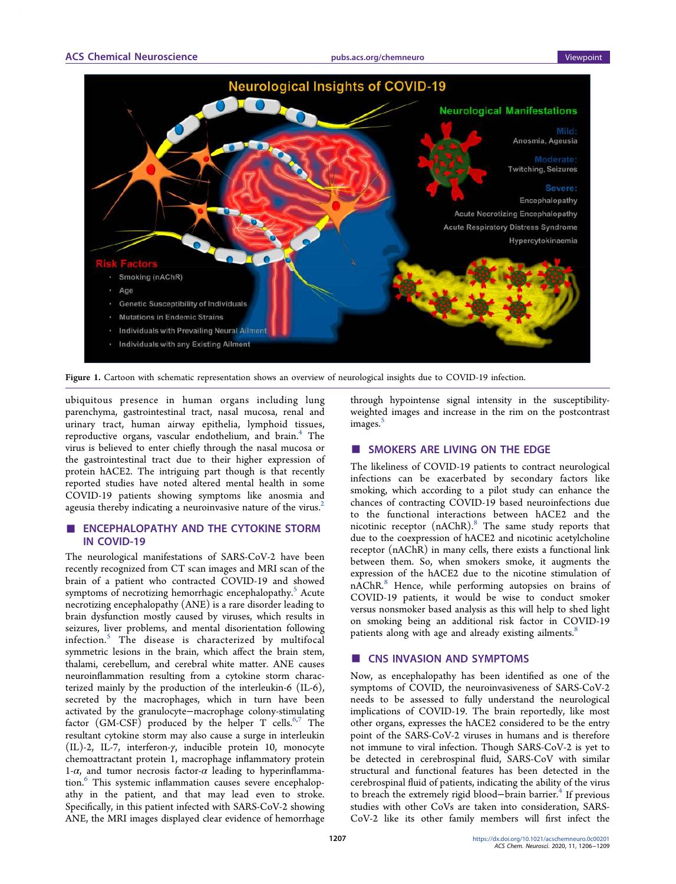

Figure 1. Cartoon with schematic representation shows an overview of neurological insights due to COVID-19 infection.

ubiquitous presence in human organs including lung parenchyma, gastrointestinal tract, nasal mucosa, renal and urinary tract, human airway epithelia, lymphoid tissues, reproductive organs, vascular endothelium, and brain.<sup>4</sup> The virus is believed to enter chiefly through the nasal mucosa or the gastrointestinal tract due to their higher expression of protein hACE2. The intriguing part though is that recently reported studies have noted altered mental health in some COVID-19 patients showing symptoms like anosmia and ageusia thereby indicating a neuroinvasive nature of the virus. $2$ 

# **ENCEPHALOPATHY AND THE CYTOKINE STORM** IN COVID-19

The neurological manifestations of SARS-CoV-2 have been recently recognized from CT scan images and MRI scan of the brain of a patient who contracted COVID-19 and showed symptoms of necrotizing hemorrhagic encephalopathy.<sup>5</sup> Acute necrotizing encephalopathy (ANE) is a rare disorder leading to brain dysfunction mostly caused by viruses, which results in seizures, liver problems, and mental disorientation following infection.<sup>5</sup> The disease is characterized by multifocal symmetric lesions in the brain, which affect the brain stem, thalami, cerebellum, and cerebral white matter. ANE causes neuroinflammation resulting from a cytokine storm characterized mainly by the production of the interleukin-6 (IL-6), secreted by the macrophages, which in turn have been activated by the granulocyte−macrophage colony-stimulating factor  $(GM-CSF)$  produced by the helper T cells.<sup>6,7</sup> The resultant cytokine storm may also cause a surge in interleukin (IL)-2, IL-7, interferon-γ, inducible protein 10, monocyte chemoattractant protein 1, macrophage inflammatory protein 1-α, and tumor necrosis factor-α leading to hyperinflammation.<sup>6</sup> This systemic inflammation causes severe encephalopathy in the patient, and that may lead even to stroke. Specifically, in this patient infected with SARS-CoV-2 showing ANE, the MRI images displayed clear evidence of hemorrhage

through hypointense signal intensity in the susceptibilityweighted images and increase in the rim on the postcontrast images.<sup>5</sup>

# ■ SMOKERS ARE LIVING ON THE EDGE

The likeliness of COVID-19 patients to contract neurological infections can be exacerbated by secondary factors like smoking, which according to a pilot study can enhance the chances of contracting COVID-19 based neuroinfections due to the functional interactions between hACE2 and the nicotinic receptor (nAChR).<sup>8</sup> The same study reports that due to the coexpression of hACE2 and nicotinic acetylcholine receptor (nAChR) in many cells, there exists a functional link between them. So, when smokers smoke, it augments the expression of the hACE2 due to the nicotine stimulation of nAChR.<sup>8</sup> Hence, while performing autopsies on brains of COVID-19 patients, it would be wise to conduct smoker versus nonsmoker based analysis as this will help to shed light on smoking being an additional risk factor in COVID-19 patients along with age and already existing ailments.<sup>8</sup>

# ■ CNS INVASION AND SYMPTOMS

Now, as encephalopathy has been identified as one of the symptoms of COVID, the neuroinvasiveness of SARS-CoV-2 needs to be assessed to fully understand the neurological implications of COVID-19. The brain reportedly, like most other organs, expresses the hACE2 considered to be the entry point of the SARS-CoV-2 viruses in humans and is therefore not immune to viral infection. Though SARS-CoV-2 is yet to be detected in cerebrospinal fluid, SARS-CoV with similar structural and functional features has been detected in the cerebrospinal fluid of patients, indicating the ability of the virus to breach the extremely rigid blood–brain barrier.<sup>4</sup> If previous studies with other CoVs are taken into consideration, SARS-CoV-2 like its other family members will first infect the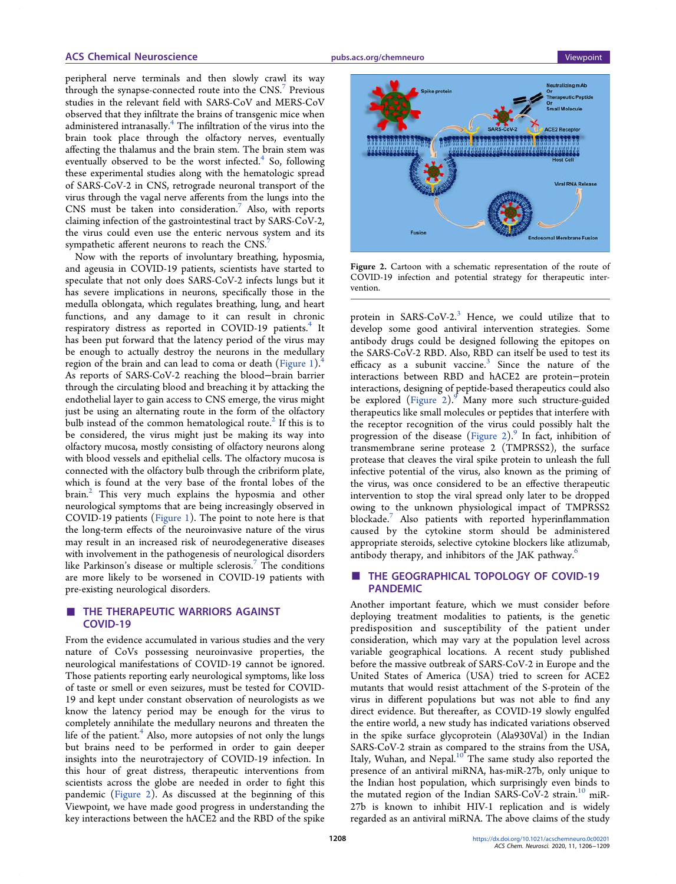#### ACS Chemical Neuroscience and pubs.acs.org/chemneuro viewpoint viewpoint

peripheral nerve terminals and then slowly crawl its way through the synapse-connected route into the CNS.<sup>7</sup> Previous studies in the relevant field with SARS-CoV and MERS-CoV observed that they infiltrate the brains of transgenic mice when administered intranasally.<sup>4</sup> The infiltration of the virus into the brain took place through the olfactory nerves, eventually affecting the thalamus and the brain stem. The brain stem was eventually observed to be the worst infected.<sup>4</sup> So, following these experimental studies along with the hematologic spread of SARS-CoV-2 in CNS, retrograde neuronal transport of the virus through the vagal nerve afferents from the lungs into the  $CNS$  must be taken into consideration.<sup>7</sup> Also, with reports claiming infection of the gastrointestinal tract by SARS-CoV-2, the virus could even use the enteric nervous system and its sympathetic afferent neurons to reach the CNS.

Now with the reports of involuntary breathing, hyposmia, and ageusia in COVID-19 patients, scientists have started to speculate that not only does SARS-CoV-2 infects lungs but it has severe implications in neurons, specifically those in the medulla oblongata, which regulates breathing, lung, and heart functions, and any damage to it can result in chronic respiratory distress as reported in COVID-19 patients.<sup>4</sup> It has been put forward that the latency period of the virus may be enough to actually destroy the neurons in the medullary region of the brain and can lead to coma or death (Figure 1). $\dot{ }$ As reports of SARS-CoV-2 reaching the blood−brain barrier through the circulating blood and breaching it by attacking the endothelial layer to gain access to CNS emerge, the virus might just be using an alternating route in the form of the olfactory bulb instead of the common hematological route.<sup>2</sup> If this is to be considered, the virus might just be making its way into olfactory mucosa, mostly consisting of olfactory neurons along with blood vessels and epithelial cells. The olfactory mucosa is connected with the olfactory bulb through the cribriform plate, which is found at the very base of the frontal lobes of the brain.<sup>2</sup> This very much explains the hyposmia and other neurological symptoms that are being increasingly observed in COVID-19 patients (Figure 1). The point to note here is that the long-term effects of the neuroinvasive nature of the virus may result in an increased risk of neurodegenerative diseases with involvement in the pathogenesis of neurological disorders like Parkinson's disease or multiple sclerosis.<sup>7</sup> The conditions are more likely to be worsened in COVID-19 patients with pre-existing neurological disorders.

#### THE THERAPEUTIC WARRIORS AGAINST COVID-19

From the evidence accumulated in various studies and the very nature of CoVs possessing neuroinvasive properties, the neurological manifestations of COVID-19 cannot be ignored. Those patients reporting early neurological symptoms, like loss of taste or smell or even seizures, must be tested for COVID-19 and kept under constant observation of neurologists as we know the latency period may be enough for the virus to completely annihilate the medullary neurons and threaten the life of the patient.<sup>4</sup> Also, more autopsies of not only the lungs but brains need to be performed in order to gain deeper insights into the neurotrajectory of COVID-19 infection. In this hour of great distress, therapeutic interventions from scientists across the globe are needed in order to fight this pandemic (Figure 2). As discussed at the beginning of this Viewpoint, we have made good progress in understanding the key interactions between the hACE2 and the RBD of the spike



Figure 2. Cartoon with a schematic representation of the route of COVID-19 infection and potential strategy for therapeutic intervention.

protein in SARS-CoV-2. $3$  Hence, we could utilize that to develop some good antiviral intervention strategies. Some antibody drugs could be designed following the epitopes on the SARS-CoV-2 RBD. Also, RBD can itself be used to test its efficacy as a subunit vaccine. $3$  Since the nature of the interactions between RBD and hACE2 are protein−protein interactions, designing of peptide-based therapeutics could also be explored (Figure 2).<sup>9</sup> Many more such structure-guided therapeutics like small molecules or peptides that interfere with the receptor recognition of the virus could possibly halt the progression of the disease (Figure 2).<sup>9</sup> In fact, inhibition of transmembrane serine protease 2 (TMPRSS2), the surface protease that cleaves the viral spike protein to unleash the full infective potential of the virus, also known as the priming of the virus, was once considered to be an effective therapeutic intervention to stop the viral spread only later to be dropped owing to the unknown physiological impact of TMPRSS2 blockade.<sup>7</sup> Also patients with reported hyperinflammation caused by the cytokine storm should be administered appropriate steroids, selective cytokine blockers like atlizumab,

# antibody therapy, and inhibitors of the JAK pathway.<sup>6</sup> ■ THE GEOGRAPHICAL TOPOLOGY OF COVID-19 PANDEMIC

Another important feature, which we must consider before deploying treatment modalities to patients, is the genetic predisposition and susceptibility of the patient under consideration, which may vary at the population level across variable geographical locations. A recent study published before the massive outbreak of SARS-CoV-2 in Europe and the United States of America (USA) tried to screen for ACE2 mutants that would resist attachment of the S-protein of the virus in different populations but was not able to find any direct evidence. But thereafter, as COVID-19 slowly engulfed the entire world, a new study has indicated variations observed in the spike surface glycoprotein (Ala930Val) in the Indian SARS-CoV-2 strain as compared to the strains from the USA, Italy, Wuhan, and Nepal. $10^{\circ}$  The same study also reported the presence of an antiviral miRNA, has-miR-27b, only unique to the Indian host population, which surprisingly even binds to the mutated region of the Indian SARS-CoV-2 strain.<sup>10</sup> miR-27b is known to inhibit HIV-1 replication and is widely regarded as an antiviral miRNA. The above claims of the study